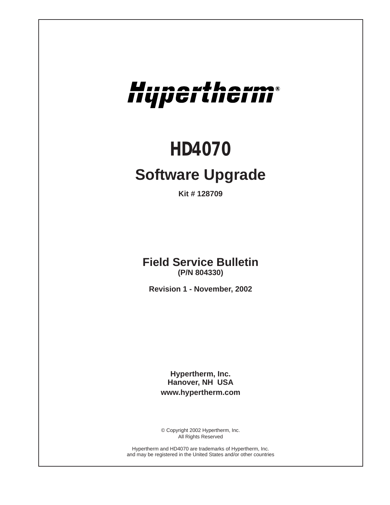# Hupertherm®

## *HD4070*

### **Software Upgrade**

**Kit # 128709**

**Field Service Bulletin (P/N 804330)**

**Revision 1 - November, 2002**

**Hypertherm, Inc. Hanover, NH USA www.hypertherm.com**

© Copyright 2002 Hypertherm, Inc. All Rights Reserved

Hypertherm and HD4070 are trademarks of Hypertherm, Inc. and may be registered in the United States and/or other countries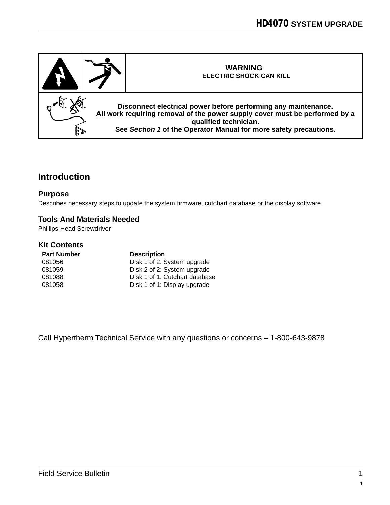

#### **Introduction**

#### **Purpose**

Describes necessary steps to update the system firmware, cutchart database or the display software.

#### **Tools And Materials Needed**

Phillips Head Screwdriver

#### **Kit Contents**

| <b>Part Number</b> | <b>Description</b>             |
|--------------------|--------------------------------|
| 081056             | Disk 1 of 2: System upgrade    |
| 081059             | Disk 2 of 2: System upgrade    |
| 081088             | Disk 1 of 1: Cutchart database |
| 081058             | Disk 1 of 1: Display upgrade   |

Call Hypertherm Technical Service with any questions or concerns – 1-800-643-9878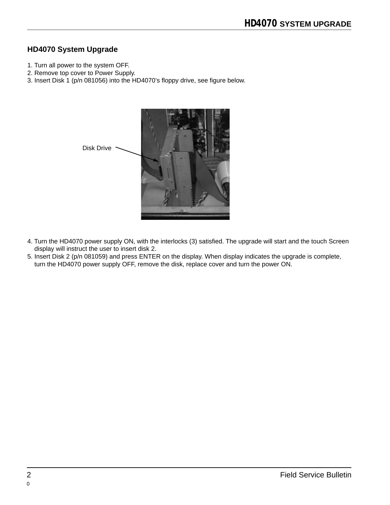#### **HD4070 System Upgrade**

- 1. Turn all power to the system OFF.
- 2. Remove top cover to Power Supply.
- 3. Insert Disk 1 (p/n 081056) into the HD4070's floppy drive, see figure below.



- 4. Turn the HD4070 power supply ON, with the interlocks (3) satisfied. The upgrade will start and the touch Screen display will instruct the user to insert disk 2.
- 5. Insert Disk 2 (p/n 081059) and press ENTER on the display. When display indicates the upgrade is complete, turn the HD4070 power supply OFF, remove the disk, replace cover and turn the power ON.